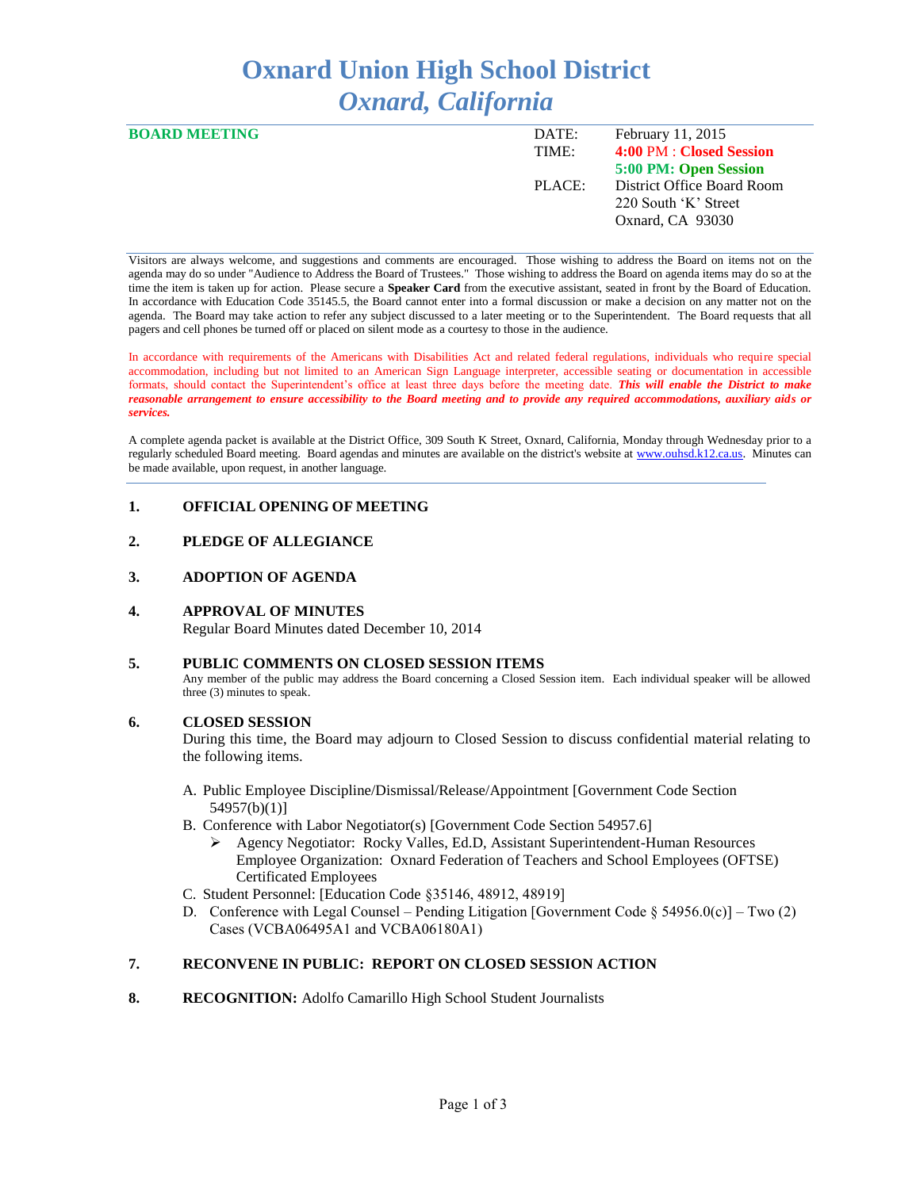# **Oxnard Union High School District** *Oxnard, California*

| <b>BOARD MEETING</b> | DATE:  | February 11, 2015          |
|----------------------|--------|----------------------------|
|                      | TIME:  | 4:00 PM : Closed Session   |
|                      |        | 5:00 PM: Open Session      |
|                      | PLACE: | District Office Board Room |
|                      |        | 220 South 'K' Street       |
|                      |        | Oxnard, CA 93030           |
|                      |        |                            |

Visitors are always welcome, and suggestions and comments are encouraged. Those wishing to address the Board on items not on the agenda may do so under "Audience to Address the Board of Trustees." Those wishing to address the Board on agenda items may do so at the time the item is taken up for action. Please secure a **Speaker Card** from the executive assistant, seated in front by the Board of Education. In accordance with Education Code 35145.5, the Board cannot enter into a formal discussion or make a decision on any matter not on the agenda. The Board may take action to refer any subject discussed to a later meeting or to the Superintendent. The Board requests that all pagers and cell phones be turned off or placed on silent mode as a courtesy to those in the audience.

In accordance with requirements of the Americans with Disabilities Act and related federal regulations, individuals who require special accommodation, including but not limited to an American Sign Language interpreter, accessible seating or documentation in accessible formats, should contact the Superintendent's office at least three days before the meeting date. *This will enable the District to make reasonable arrangement to ensure accessibility to the Board meeting and to provide any required accommodations, auxiliary aids or services.* 

A complete agenda packet is available at the District Office, 309 South K Street, Oxnard, California, Monday through Wednesday prior to a regularly scheduled Board meeting. Board agendas and minutes are available on the district's website a[t www.ouhsd.k12.ca.us.](http://www.ouhsd.k12.ca.us/)Minutes can be made available, upon request, in another language.

# **1. OFFICIAL OPENING OF MEETING**

# **2. PLEDGE OF ALLEGIANCE**

## **3. ADOPTION OF AGENDA**

## **4. APPROVAL OF MINUTES**

Regular Board Minutes dated December 10, 2014

# **5. PUBLIC COMMENTS ON CLOSED SESSION ITEMS**

Any member of the public may address the Board concerning a Closed Session item. Each individual speaker will be allowed three (3) minutes to speak.

## **6. CLOSED SESSION**

During this time, the Board may adjourn to Closed Session to discuss confidential material relating to the following items.

- A. Public Employee Discipline/Dismissal/Release/Appointment [Government Code Section 54957(b)(1)]
- B. Conference with Labor Negotiator(s) [Government Code Section 54957.6]
	- Agency Negotiator: Rocky Valles, Ed.D, Assistant Superintendent-Human Resources Employee Organization: Oxnard Federation of Teachers and School Employees (OFTSE) Certificated Employees
- C. Student Personnel: [Education Code §35146, 48912, 48919]
- D. Conference with Legal Counsel Pending Litigation [Government Code  $\S 54956.0(c)$ ] Two (2) Cases (VCBA06495A1 and VCBA06180A1)

# **7. RECONVENE IN PUBLIC: REPORT ON CLOSED SESSION ACTION**

8. RECOGNITION: Adolfo Camarillo High School Student Journalists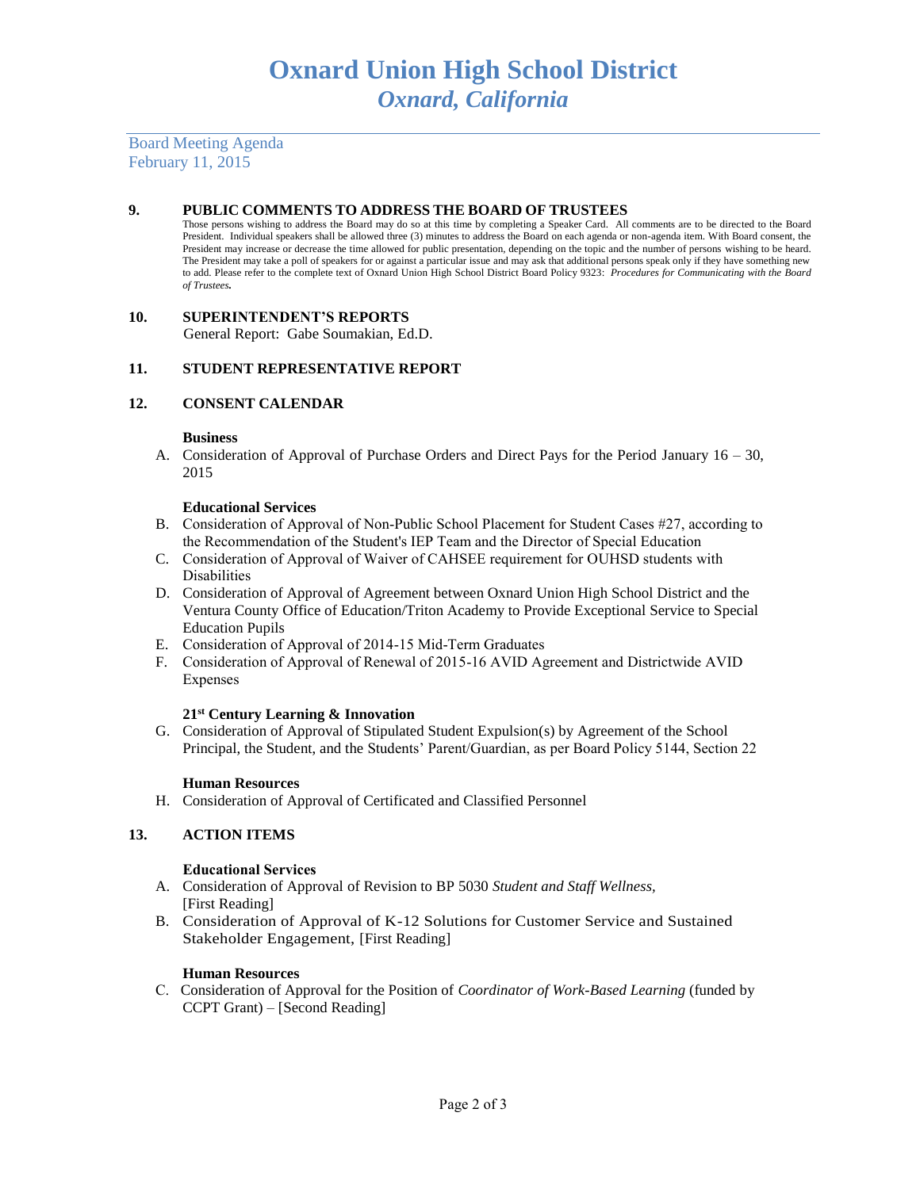Board Meeting Agenda February 11, 2015

## **9. PUBLIC COMMENTS TO ADDRESS THE BOARD OF TRUSTEES**

Those persons wishing to address the Board may do so at this time by completing a Speaker Card. All comments are to be directed to the Board President. Individual speakers shall be allowed three (3) minutes to address the Board on each agenda or non-agenda item. With Board consent, the President may increase or decrease the time allowed for public presentation, depending on the topic and the number of persons wishing to be heard. The President may take a poll of speakers for or against a particular issue and may ask that additional persons speak only if they have something new to add. Please refer to the complete text of Oxnard Union High School District Board Policy 9323: *Procedures for Communicating with the Board of Trustees.*

## **10. SUPERINTENDENT'S REPORTS**

General Report: Gabe Soumakian, Ed.D.

### **11. STUDENT REPRESENTATIVE REPORT**

### **12. CONSENT CALENDAR**

#### **Business**

A. Consideration of Approval of Purchase Orders and Direct Pays for the Period January 16 – 30, 2015

#### **Educational Services**

- B. Consideration of Approval of Non-Public School Placement for Student Cases #27, according to the Recommendation of the Student's IEP Team and the Director of Special Education
- C. Consideration of Approval of Waiver of CAHSEE requirement for OUHSD students with Disabilities
- D. Consideration of Approval of Agreement between Oxnard Union High School District and the Ventura County Office of Education/Triton Academy to Provide Exceptional Service to Special Education Pupils
- E. Consideration of Approval of 2014-15 Mid-Term Graduates
- F. Consideration of Approval of Renewal of 2015-16 AVID Agreement and Districtwide AVID Expenses

#### **21st Century Learning & Innovation**

G. Consideration of Approval of Stipulated Student Expulsion(s) by Agreement of the School Principal, the Student, and the Students' Parent/Guardian, as per Board Policy 5144, Section 22

#### **Human Resources**

H. Consideration of Approval of Certificated and Classified Personnel

# **13. ACTION ITEMS**

#### **Educational Services**

- A. Consideration of Approval of Revision to BP 5030 *Student and Staff Wellness,*  [First Reading]
- B. Consideration of Approval of K-12 Solutions for Customer Service and Sustained Stakeholder Engagement, [First Reading]

#### **Human Resources**

C. Consideration of Approval for the Position of *Coordinator of Work-Based Learning* (funded by CCPT Grant) – [Second Reading]